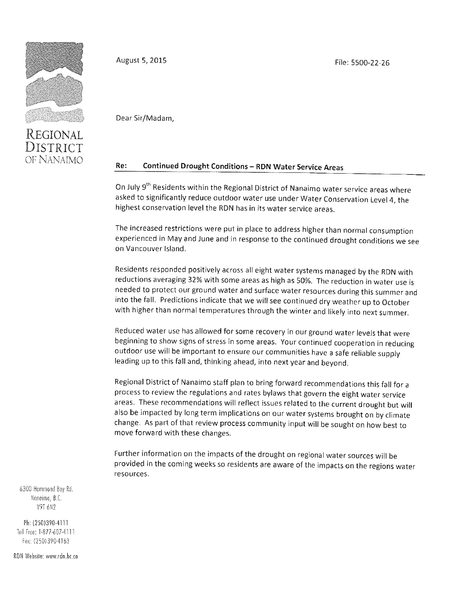

REGIONAL DISTRICT OF NANAIMO August 5, 2015 **File: 5500-22-26** 

Dear Sir/Madam,

## Re: Continued Drought Conditions — RDN Water Service Areas

On July 9<sup>th</sup> Residents within the Regional District of Nanaimo water service areas where asked to significantly reduce outdoor water use under Water Conservation Level 4, the highest conservation level the RDN has in its water service areas.

The increased restrictions were put in place to address higher than normal consumption experienced in May and June and in response to the continued drought conditions we see on Vancouver Island.

Residents responded positively across all eight water systems managed by the RDN with reductions averaging 32% with some areas as high as 50%. The reduction in water use is needed to protect our ground water and surface water resources during this summer and into the fall. Predictions indicate that we will see continued dry weather up to October with higher than normal temperatures through the winter and likely into next summer.

Reduced water use has allowed for some recovery in our ground water levels that were beginning to show signs of stress in some areas. Your continued cooperation in reducing outdoor use will be important to ensure our communities have a safe reliable supply leading up to this fall and, thinking ahead, into next year and beyond.

Regional District of Nanaimo staff plan to bring forward recommendations this fall for a process to review the regulations and rates bylaws that govern the eight water service areas. These recommendations will reflect issues related to the current drought but will also be impacted by long term implications on our water systems brought on by climate change. As part of that review process community input will be sought on how best to move forward with these changes.

Further information on the impacts of the drought on regional water sources will be provided in the coming weeks so residents are aware of the impacts on the regions water resources.

6300 Hammond Boy Rd. Naneinio, B.C. V9T 6N2

Ph: {250)390-4111 Toll Free; 1-077-607 -4111 Fox: (250)390-4163

RDN Website: www.rdn.bc.co